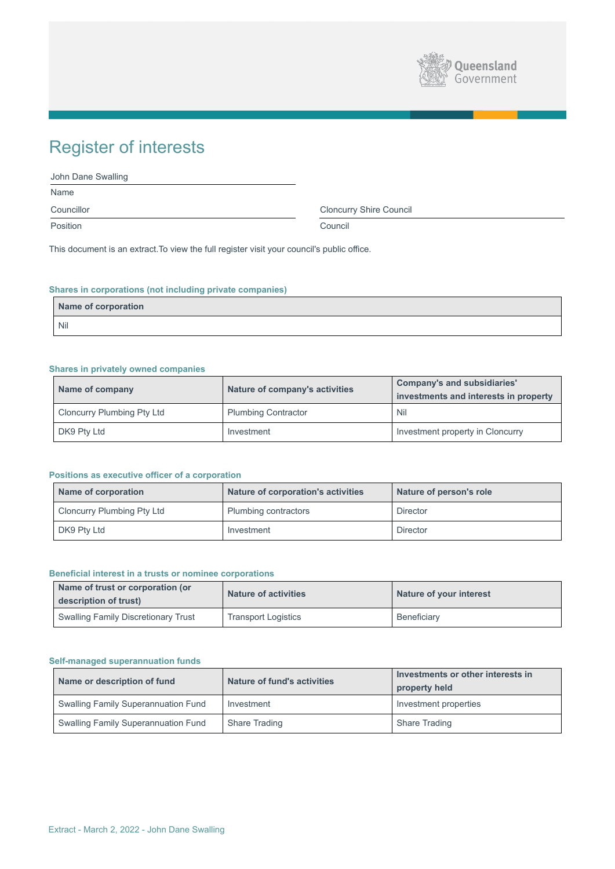

# Register of interests

| John Dane Swalling |                                |  |
|--------------------|--------------------------------|--|
| <b>Name</b>        |                                |  |
| Councillor         | <b>Cloncurry Shire Council</b> |  |
| Position           | Council                        |  |

This document is an extract.To view the full register visit your council's public office.

# **Shares in corporations (not including private companies)**

| Name of corporation |  |
|---------------------|--|
| Nil                 |  |

## **Shares in privately owned companies**

| <b>Name of company</b>            | Nature of company's activities | <b>Company's and subsidiaries'</b><br>investments and interests in property |
|-----------------------------------|--------------------------------|-----------------------------------------------------------------------------|
| <b>Cloncurry Plumbing Pty Ltd</b> | <b>Plumbing Contractor</b>     | <b>Nil</b>                                                                  |
| DK9 Pty Ltd                       | Investment                     | Investment property in Cloncurry                                            |

# **Positions as executive officer of a corporation**

| <b>Name of corporation</b>        | <b>Nature of corporation's activities</b> | Nature of person's role |
|-----------------------------------|-------------------------------------------|-------------------------|
| <b>Cloncurry Plumbing Pty Ltd</b> | <b>Plumbing contractors</b>               | <b>Director</b>         |
| DK9 Pty Ltd                       | Investment                                | <b>Director</b>         |

## **Beneficial interest in a trusts or nominee corporations**

| Name of trust or corporation (or<br>description of trust) | <b>Nature of activities</b> | Nature of your interest |
|-----------------------------------------------------------|-----------------------------|-------------------------|
| <b>Swalling Family Discretionary Trust</b>                | <b>Transport Logistics</b>  | Beneficiary             |

# **Self-managed superannuation funds**

| Name or description of fund                | <b>Nature of fund's activities</b> | Investments or other interests in<br>property held |
|--------------------------------------------|------------------------------------|----------------------------------------------------|
| <b>Swalling Family Superannuation Fund</b> | Investment                         | Investment properties                              |
| <b>Swalling Family Superannuation Fund</b> | <b>Share Trading</b>               | <b>Share Trading</b>                               |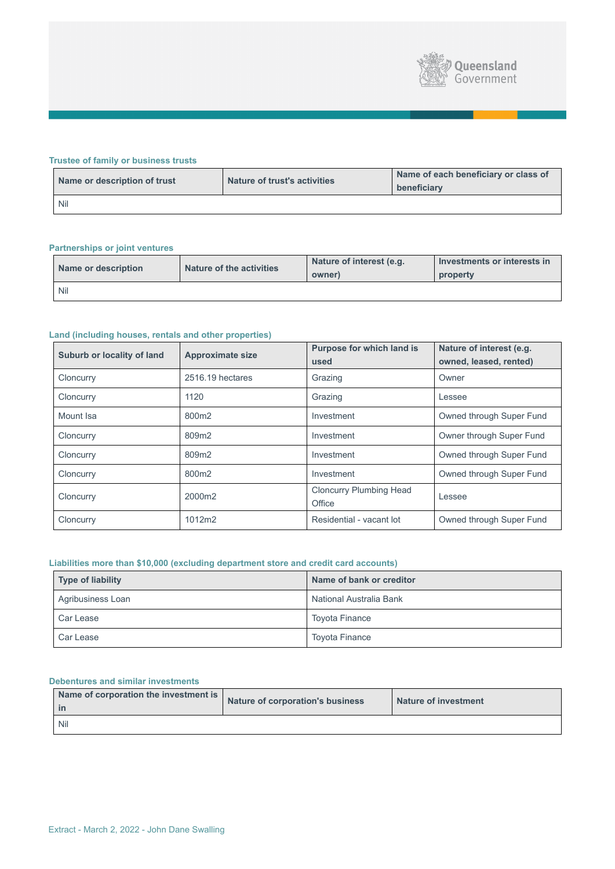

# **Trustee of family or business trusts**

| Name or description of trust | <b>Nature of trust's activities</b> | Name of each beneficiary or class of<br>beneficiary |
|------------------------------|-------------------------------------|-----------------------------------------------------|
| <b>Nil</b>                   |                                     |                                                     |

# **Partnerships or joint ventures**

| Name or description | <b>Nature of the activities</b> | Nature of interest (e.g.<br>owner) | Investments or interests in<br>property |
|---------------------|---------------------------------|------------------------------------|-----------------------------------------|
| <b>Nil</b>          |                                 |                                    |                                         |

# **Land (including houses, rentals and other properties)**

| <b>Suburb or locality of land</b> | <b>Approximate size</b> | <b>Purpose for which land is</b><br>used | Nature of interest (e.g.<br>owned, leased, rented) |
|-----------------------------------|-------------------------|------------------------------------------|----------------------------------------------------|
| Cloncurry                         | 2516.19 hectares        | Grazing                                  | Owner                                              |
| Cloncurry                         | 1120                    | Grazing                                  | Lessee                                             |
| Mount Isa                         | 800m2                   | Investment                               | Owned through Super Fund                           |
| Cloncurry                         | 809m2                   | Investment                               | Owner through Super Fund                           |
| Cloncurry                         | 809m2                   | Investment                               | Owned through Super Fund                           |
| Cloncurry                         | 800m2                   | Investment                               | Owned through Super Fund                           |
| Cloncurry                         | 2000m2                  | <b>Cloncurry Plumbing Head</b><br>Office | Lessee                                             |
| Cloncurry                         | 1012m2                  | Residential - vacant lot                 | Owned through Super Fund                           |

# **Liabilities more than \$10,000 (excluding department store and credit card accounts)**

| Type of liability        | Name of bank or creditor |
|--------------------------|--------------------------|
| <b>Agribusiness Loan</b> | National Australia Bank  |
| <b>Car Lease</b>         | <b>Toyota Finance</b>    |
| <b>Car Lease</b>         | <b>Toyota Finance</b>    |

#### **Debentures and similar investments**

| Name of corporation the investment is | <b>Nature of corporation's business</b> | <b>Nature of investment</b> |
|---------------------------------------|-----------------------------------------|-----------------------------|
| Nil                                   |                                         |                             |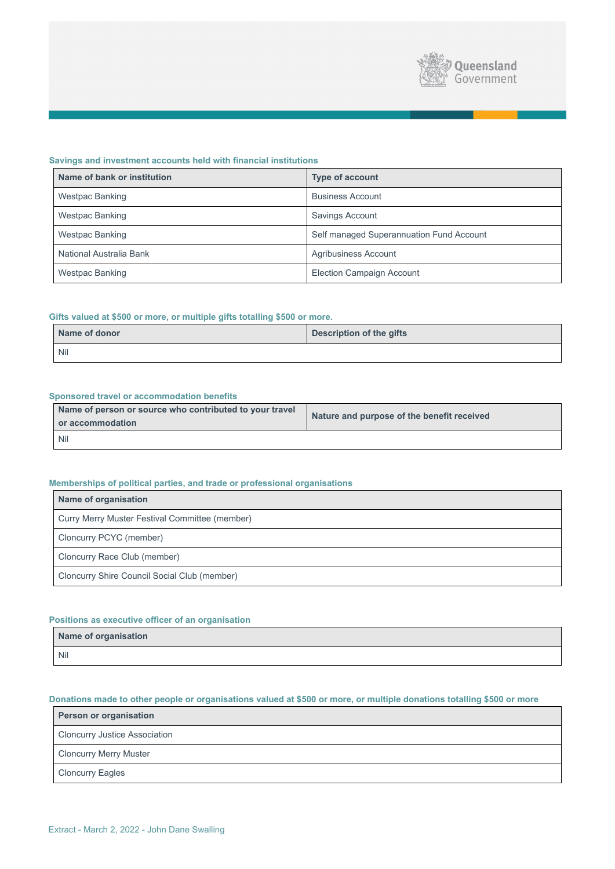

## **Savings and investment accounts held with financial institutions**

| Name of bank or institution | <b>Type of account</b>                   |
|-----------------------------|------------------------------------------|
| <b>Westpac Banking</b>      | <b>Business Account</b>                  |
| <b>Westpac Banking</b>      | <b>Savings Account</b>                   |
| <b>Westpac Banking</b>      | Self managed Superannuation Fund Account |
| National Australia Bank     | <b>Agribusiness Account</b>              |
| <b>Westpac Banking</b>      | <b>Election Campaign Account</b>         |

## **Gifts valued at \$500 or more, or multiple gifts totalling \$500 or more.**

| Name of donor | <b>Description of the gifts</b> |  |  |
|---------------|---------------------------------|--|--|
| Nil           |                                 |  |  |

#### **Sponsored travel or accommodation benefits**

| Name of person or source who contributed to your travel<br>or accommodation | Nature and purpose of the benefit received |  |
|-----------------------------------------------------------------------------|--------------------------------------------|--|
| <b>Nil</b>                                                                  |                                            |  |

## **Memberships of political parties, and trade or professional organisations**

| <b>Name of organisation</b>                           |
|-------------------------------------------------------|
| <b>Curry Merry Muster Festival Committee (member)</b> |
| <b>Cloncurry PCYC (member)</b>                        |
| Cloncurry Race Club (member)                          |
| <b>Cloncurry Shire Council Social Club (member)</b>   |

## **Positions as executive officer of an organisation**

| Name of organisation |  |  |  |
|----------------------|--|--|--|
| <b>IN 111</b>        |  |  |  |

Nil

# **Donations made to other people or organisations valued at \$500 or more, or multiple donations totalling \$500 or more**

| <b>Person or organisation</b>        |
|--------------------------------------|
| <b>Cloncurry Justice Association</b> |
| <b>Cloncurry Merry Muster</b>        |
| <b>Cloncurry Eagles</b>              |